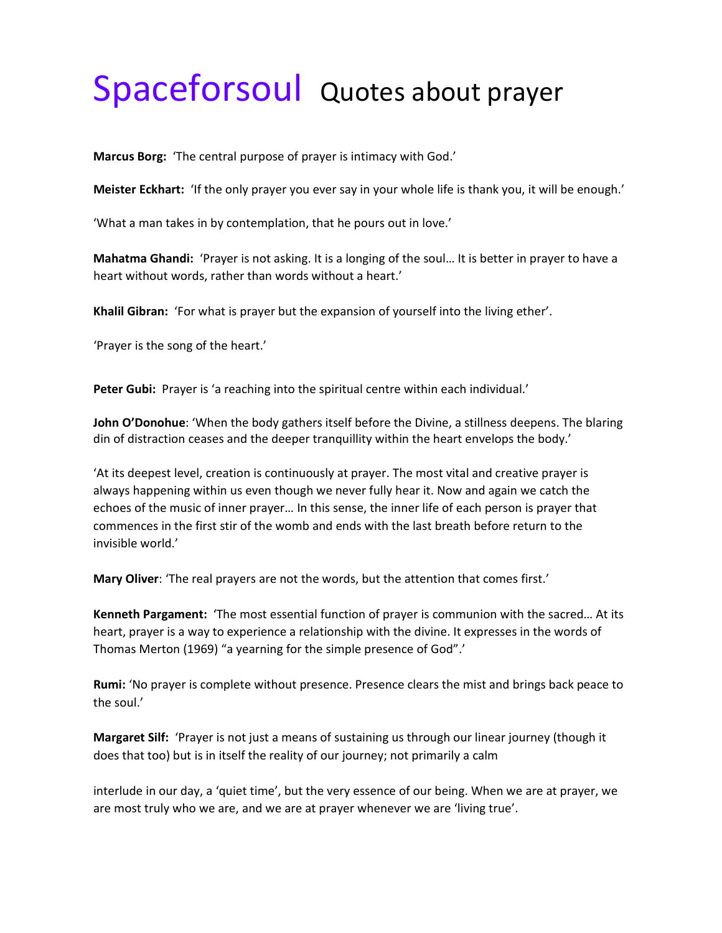## Spaceforsoul Quotes about prayer

**Marcus Borg:** 'The central purpose of prayer is intimacy with God.'

**Meister Eckhart:** 'If the only prayer you ever say in your whole life is thank you, it will be enough.'

'What a man takes in by contemplation, that he pours out in love.'

**Mahatma Ghandi:** 'Prayer is not asking. It is a longing of the soul… It is better in prayer to have a heart without words, rather than words without a heart.'

**Khalil Gibran:** 'For what is prayer but the expansion of yourself into the living ether'.

'Prayer is the song of the heart.'

**Peter Gubi:** Prayer is 'a reaching into the spiritual centre within each individual.'

**John O'Donohue**: 'When the body gathers itself before the Divine, a stillness deepens. The blaring din of distraction ceases and the deeper tranquillity within the heart envelops the body.'

'At its deepest level, creation is continuously at prayer. The most vital and creative prayer is always happening within us even though we never fully hear it. Now and again we catch the echoes of the music of inner prayer… In this sense, the inner life of each person is prayer that commences in the first stir of the womb and ends with the last breath before return to the invisible world.'

**Mary Oliver**: 'The real prayers are not the words, but the attention that comes first.'

**Kenneth Pargament:** 'The most essential function of prayer is communion with the sacred… At its heart, prayer is a way to experience a relationship with the divine. It expresses in the words of Thomas Merton (1969) "a yearning for the simple presence of God".'

**Rumi:** 'No prayer is complete without presence. Presence clears the mist and brings back peace to the soul.'

**Margaret Silf:** 'Prayer is not just a means of sustaining us through our linear journey (though it does that too) but is in itself the reality of our journey; not primarily a calm

interlude in our day, a 'quiet time', but the very essence of our being. When we are at prayer, we are most truly who we are, and we are at prayer whenever we are 'living true'.